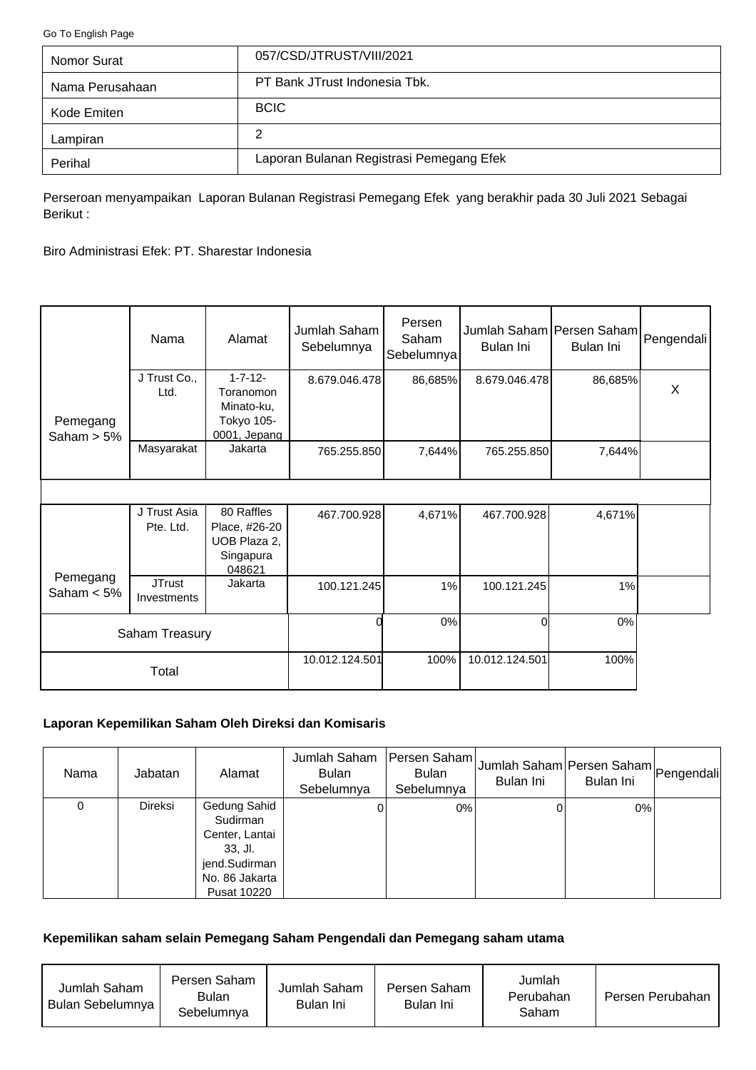<span id="page-0-0"></span>[Go To English Page](#page-2-0)

| Nomor Surat     | 057/CSD/JTRUST/VIII/2021                 |
|-----------------|------------------------------------------|
| Nama Perusahaan | PT Bank JTrust Indonesia Tbk.            |
| Kode Emiten     | <b>BCIC</b>                              |
| Lampiran        | 2                                        |
| Perihal         | Laporan Bulanan Registrasi Pemegang Efek |

Perseroan menyampaikan Laporan Bulanan Registrasi Pemegang Efek yang berakhir pada 30 Juli 2021 Sebagai Berikut :

Biro Administrasi Efek: PT. Sharestar Indonesia

|                           | Nama                         | Alamat                                                                  | Jumlah Saham<br>Sebelumnya | Persen<br>Saham<br>Sebelumnya | Jumlah Saham Persen Saham Pengendali<br>Bulan Ini | Bulan Ini |   |
|---------------------------|------------------------------|-------------------------------------------------------------------------|----------------------------|-------------------------------|---------------------------------------------------|-----------|---|
| Pemegang<br>Saham $> 5\%$ | J Trust Co.,<br>Ltd.         | $1 - 7 - 12 -$<br>Toranomon<br>Minato-ku,<br>Tokyo 105-<br>0001, Jepang | 8.679.046.478              | 86,685%                       | 8.679.046.478                                     | 86,685%   | X |
|                           | Masyarakat                   | Jakarta                                                                 | 765.255.850                | 7,644%                        | 765.255.850                                       | 7,644%    |   |
|                           |                              |                                                                         |                            |                               |                                                   |           |   |
|                           | J Trust Asia<br>Pte. Ltd.    | 80 Raffles<br>Place, #26-20<br>UOB Plaza 2,<br>Singapura<br>048621      | 467.700.928                | 4,671%                        | 467.700.928                                       | 4,671%    |   |
| Pemegang<br>Saham $< 5\%$ | <b>JTrust</b><br>Investments | Jakarta                                                                 | 100.121.245                | 1%                            | 100.121.245                                       | 1%        |   |
| Saham Treasury            |                              |                                                                         | 0%                         | Οl                            | 0%                                                |           |   |
|                           | Total                        |                                                                         | 10.012.124.501             | 100%                          | 10.012.124.501                                    | 100%      |   |

# **Laporan Kepemilikan Saham Oleh Direksi dan Komisaris**

| Nama | Jabatan        | Alamat                                                                                                    | Jumlah Saham<br><b>Bulan</b><br>Sebelumnya | Persen Saham<br><b>Bulan</b><br>Sebelumnya | Jumlah Saham Persen Saham Pengendali<br>Bulan Ini | Bulan Ini |  |
|------|----------------|-----------------------------------------------------------------------------------------------------------|--------------------------------------------|--------------------------------------------|---------------------------------------------------|-----------|--|
| 0    | <b>Direksi</b> | Gedung Sahid<br>Sudirman<br>Center, Lantai<br>$33.$ Jl.<br>jend.Sudirman<br>No. 86 Jakarta<br>Pusat 10220 |                                            | 0%                                         |                                                   | $0\%$     |  |

### **Kepemilikan saham selain Pemegang Saham Pengendali dan Pemegang saham utama**

| Jumlah Saham<br>Bulan Sebelumnya | Persen Saham<br>Bulan<br>Sebelumnva | Jumlah Saham<br>Bulan Ini | Persen Saham<br>Bulan Ini | Jumlah<br>Perubahan<br>Saham | Persen Perubahan |
|----------------------------------|-------------------------------------|---------------------------|---------------------------|------------------------------|------------------|
|----------------------------------|-------------------------------------|---------------------------|---------------------------|------------------------------|------------------|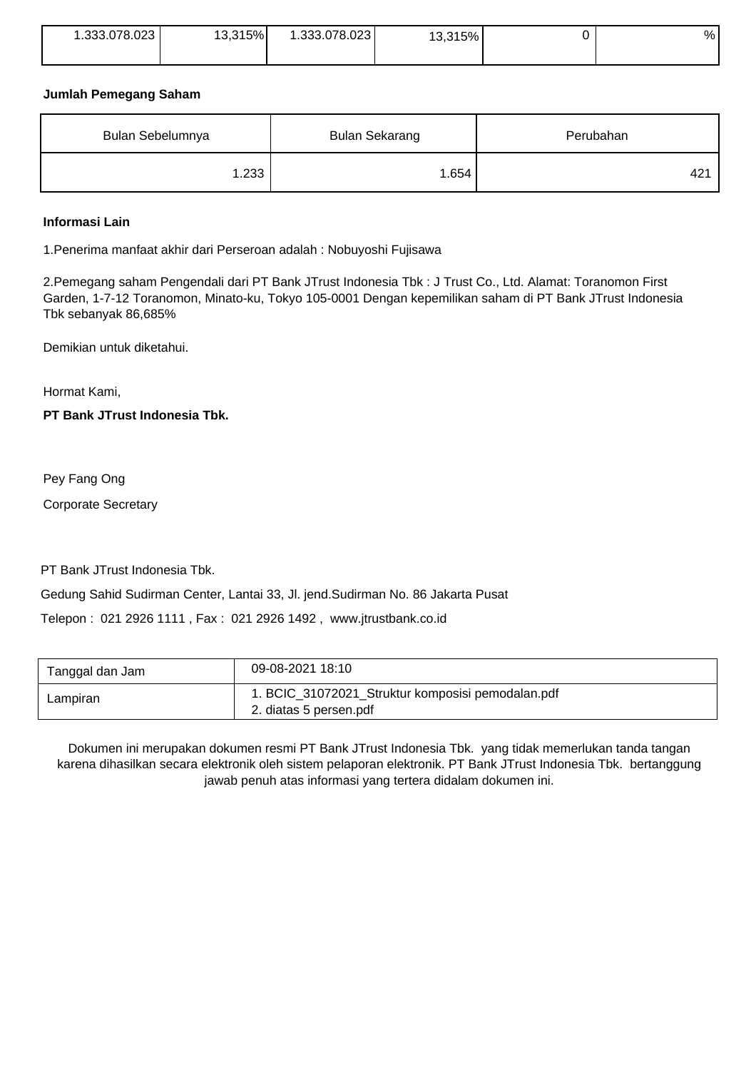| 1.333.078.023 | 13,315% | .333.078.023 | 315%<br>ໍ່ | % |
|---------------|---------|--------------|------------|---|
|               |         |              |            |   |

### **Jumlah Pemegang Saham**

| Bulan Sebelumnya | <b>Bulan Sekarang</b> | Perubahan |  |
|------------------|-----------------------|-----------|--|
| 1.233            | 1.654                 | 421       |  |

### **Informasi Lain**

1.Penerima manfaat akhir dari Perseroan adalah : Nobuyoshi Fujisawa

2.Pemegang saham Pengendali dari PT Bank JTrust Indonesia Tbk : J Trust Co., Ltd. Alamat: Toranomon First Garden, 1-7-12 Toranomon, Minato-ku, Tokyo 105-0001 Dengan kepemilikan saham di PT Bank JTrust Indonesia Tbk sebanyak 86,685%

Demikian untuk diketahui.

Hormat Kami,

## **PT Bank JTrust Indonesia Tbk.**

Pey Fang Ong

Corporate Secretary

PT Bank JTrust Indonesia Tbk.

Gedung Sahid Sudirman Center, Lantai 33, Jl. jend.Sudirman No. 86 Jakarta Pusat

Telepon : 021 2926 1111 , Fax : 021 2926 1492 , www.jtrustbank.co.id

| Tanggal dan Jam | 09-08-2021 18:10                                                            |
|-----------------|-----------------------------------------------------------------------------|
| Lampiran        | 1. BCIC_31072021_Struktur komposisi pemodalan.pdf<br>2. diatas 5 persen.pdf |

Dokumen ini merupakan dokumen resmi PT Bank JTrust Indonesia Tbk. yang tidak memerlukan tanda tangan karena dihasilkan secara elektronik oleh sistem pelaporan elektronik. PT Bank JTrust Indonesia Tbk. bertanggung jawab penuh atas informasi yang tertera didalam dokumen ini.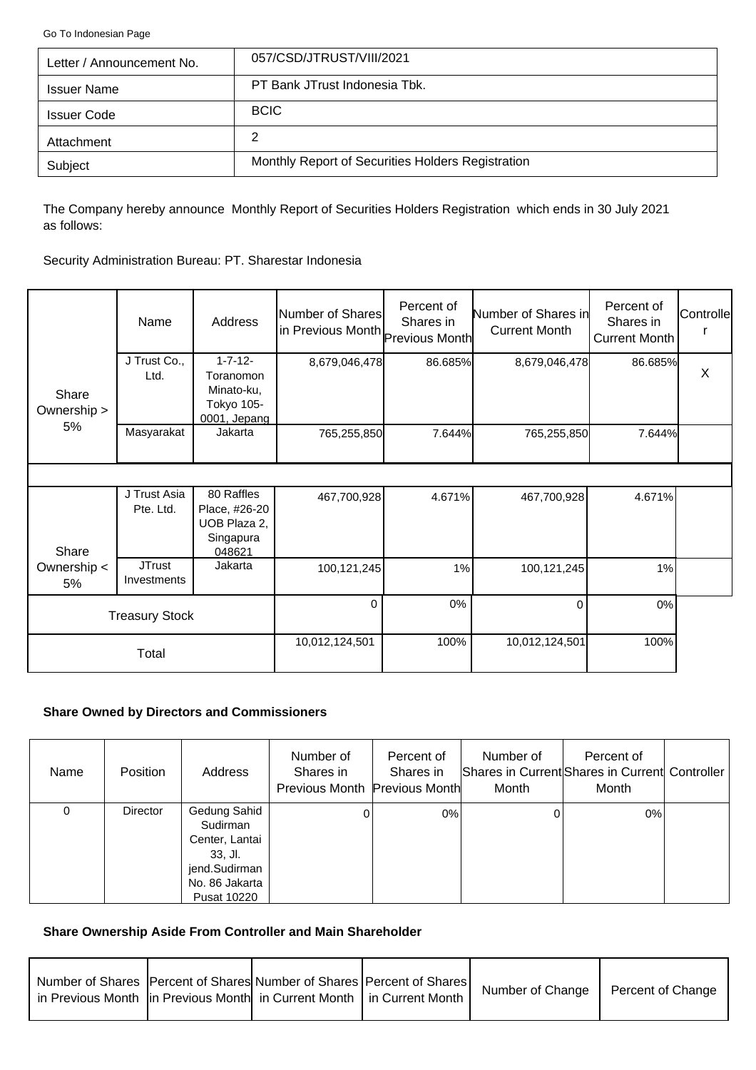<span id="page-2-0"></span>[Go To Indonesian Page](#page-0-0)

| Letter / Announcement No. | 057/CSD/JTRUST/VIII/2021                          |
|---------------------------|---------------------------------------------------|
| <b>Issuer Name</b>        | PT Bank JTrust Indonesia Tbk.                     |
| <b>Issuer Code</b>        | <b>BCIC</b>                                       |
| Attachment                | 2                                                 |
| Subject                   | Monthly Report of Securities Holders Registration |

The Company hereby announce Monthly Report of Securities Holders Registration which ends in 30 July 2021 as follows:

Security Administration Bureau: PT. Sharestar Indonesia

|                      | Name                         | Address                                                                 | Number of Shares<br>in Previous Month Previous Month | Percent of<br>Shares in | Number of Shares in<br><b>Current Month</b> | Percent of<br>Shares in<br>Current Month | Controlle |
|----------------------|------------------------------|-------------------------------------------------------------------------|------------------------------------------------------|-------------------------|---------------------------------------------|------------------------------------------|-----------|
| Share<br>Ownership > | J Trust Co.,<br>Ltd.         | $1 - 7 - 12 -$<br>Toranomon<br>Minato-ku,<br>Tokyo 105-<br>0001, Jepang | 8,679,046,478                                        | 86.685%                 | 8,679,046,478                               | 86.685%                                  | X         |
| 5%                   | Masyarakat                   | Jakarta                                                                 | 765,255,850                                          | 7.644%                  | 765,255,850                                 | 7.644%                                   |           |
|                      |                              |                                                                         |                                                      |                         |                                             |                                          |           |
| Share                | J Trust Asia<br>Pte. Ltd.    | 80 Raffles<br>Place, #26-20<br>UOB Plaza 2,<br>Singapura<br>048621      | 467,700,928                                          | 4.671%                  | 467,700,928                                 | 4.671%                                   |           |
| Ownership <<br>5%    | <b>JTrust</b><br>Investments | Jakarta                                                                 | 100,121,245                                          | 1%                      | 100,121,245                                 | 1%                                       |           |
|                      | <b>Treasury Stock</b>        |                                                                         | $\Omega$                                             | 0%                      | $\Omega$                                    | 0%                                       |           |
|                      | Total                        |                                                                         | 10,012,124,501                                       | 100%                    | 10,012,124,501                              | 100%                                     |           |

## **Share Owned by Directors and Commissioners**

| Name | <b>Position</b> | Address                                                                                                          | Number of<br>Shares in<br>Previous Month Previous Month | Percent of<br>Shares in | Number of<br>Month | Percent of<br>Shares in Current Shares in Current Controller<br>Month |  |
|------|-----------------|------------------------------------------------------------------------------------------------------------------|---------------------------------------------------------|-------------------------|--------------------|-----------------------------------------------------------------------|--|
| 0    | <b>Director</b> | Gedung Sahid<br>Sudirman<br>Center, Lantai<br>$33.$ Jl.<br>jend.Sudirman<br>No. 86 Jakarta<br><b>Pusat 10220</b> |                                                         | 0%                      |                    | 0%                                                                    |  |

## **Share Ownership Aside From Controller and Main Shareholder**

| Number of Shares   Percent of Shares  Number of Shares   Percent of Shares  <br>in Previous Month  in Previous Month  in Current Month   in Current Month |  | Number of Change | Percent of Change |
|-----------------------------------------------------------------------------------------------------------------------------------------------------------|--|------------------|-------------------|
|                                                                                                                                                           |  |                  |                   |